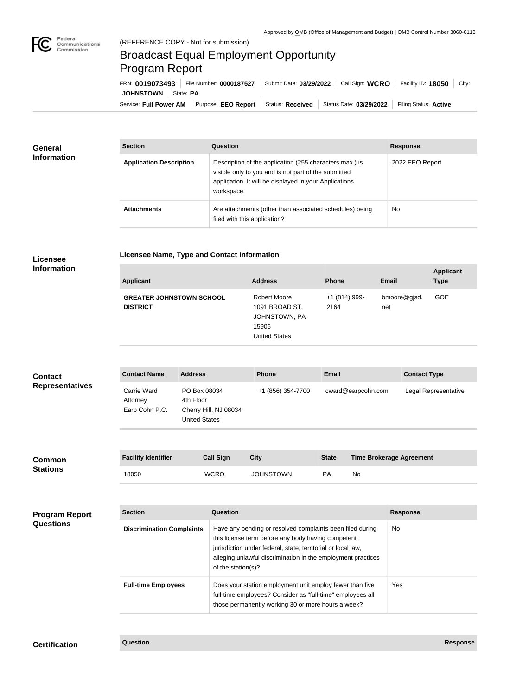

# Broadcast Equal Employment Opportunity Program Report

**Licensee Name, Type and Contact Information**

Service: Full Power AM | Purpose: EEO Report | Status: Received | Status Date: 03/29/2022 | Filing Status: Active **JOHNSTOWN** State: **PA** FRN: **0019073493** File Number: **0000187527** Submit Date: **03/29/2022** Call Sign: **WCRO** Facility ID: **18050** City:

| <b>General</b><br><b>Information</b> | <b>Section</b>                 | <b>Question</b>                                                                                                                                                                         | <b>Response</b> |
|--------------------------------------|--------------------------------|-----------------------------------------------------------------------------------------------------------------------------------------------------------------------------------------|-----------------|
|                                      | <b>Application Description</b> | Description of the application (255 characters max.) is<br>visible only to you and is not part of the submitted<br>application. It will be displayed in your Applications<br>workspace. | 2022 EEO Report |
|                                      | <b>Attachments</b>             | Are attachments (other than associated schedules) being<br>filed with this application?                                                                                                 | <b>No</b>       |

### **Licensee Information**

| <b>Applicant</b>                                   | <b>Address</b>                                                                   | <b>Phone</b>          | <b>Email</b>        | <b>Applicant</b><br><b>Type</b> |
|----------------------------------------------------|----------------------------------------------------------------------------------|-----------------------|---------------------|---------------------------------|
| <b>GREATER JOHNSTOWN SCHOOL</b><br><b>DISTRICT</b> | Robert Moore<br>1091 BROAD ST.<br>JOHNSTOWN, PA<br>15906<br><b>United States</b> | +1 (814) 999-<br>2164 | bmoore@gjsd.<br>net | <b>GOE</b>                      |

#### **Contact Name Address Phone Email Contact Type** Carrie Ward Attorney Earp Cohn P.C. PO Box 08034 4th Floor Cherry Hill, NJ 08034 United States +1 (856) 354-7700 cward@earpcohn.com Legal Representative **Contact Representatives**

| <b>Common</b><br><b>Stations</b> | <b>Facility Identifier</b> | <b>Call Sign</b> | <b>City</b>      | <b>State</b> | <b>Time Brokerage Agreement</b> |
|----------------------------------|----------------------------|------------------|------------------|--------------|---------------------------------|
|                                  | 18050                      | <b>WCRO</b>      | <b>JOHNSTOWN</b> | <b>PA</b>    | No                              |

| <b>Program Report</b><br><b>Questions</b> | <b>Section</b>                   | Question                                                                                                                                                                                                                                                              | <b>Response</b> |
|-------------------------------------------|----------------------------------|-----------------------------------------------------------------------------------------------------------------------------------------------------------------------------------------------------------------------------------------------------------------------|-----------------|
|                                           | <b>Discrimination Complaints</b> | Have any pending or resolved complaints been filed during<br>this license term before any body having competent<br>jurisdiction under federal, state, territorial or local law,<br>alleging unlawful discrimination in the employment practices<br>of the station(s)? | No.             |
|                                           | <b>Full-time Employees</b>       | Does your station employment unit employ fewer than five<br>full-time employees? Consider as "full-time" employees all<br>those permanently working 30 or more hours a week?                                                                                          | Yes             |

## **Certification Question Response**